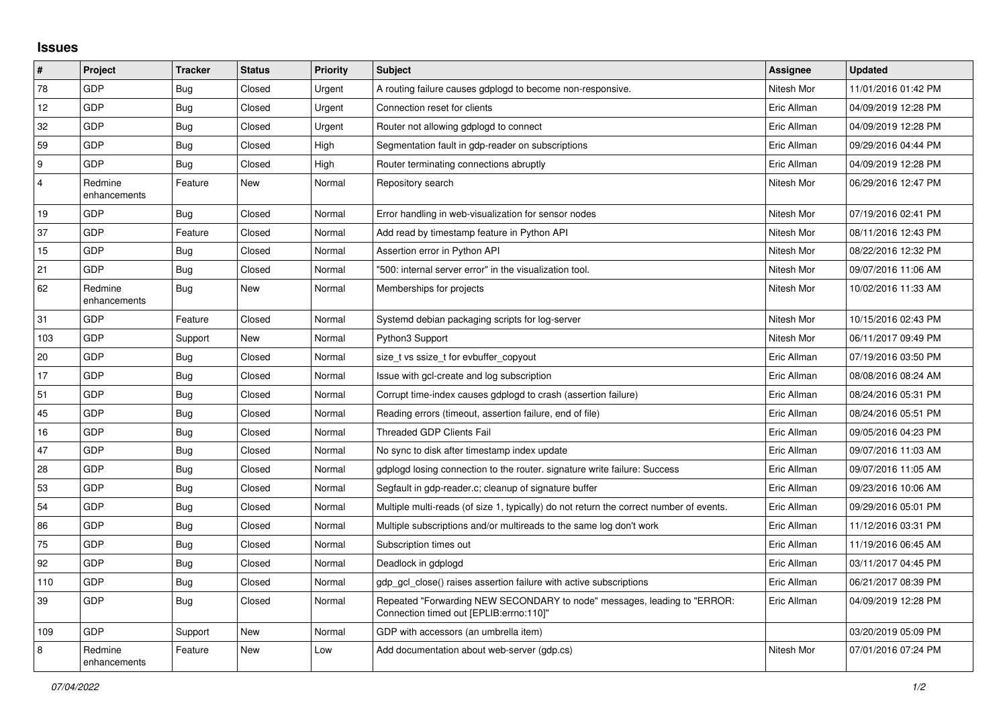## **Issues**

| $\vert$ #      | Project                 | <b>Tracker</b> | <b>Status</b> | <b>Priority</b> | <b>Subject</b>                                                                                                      | Assignee    | <b>Updated</b>      |
|----------------|-------------------------|----------------|---------------|-----------------|---------------------------------------------------------------------------------------------------------------------|-------------|---------------------|
| 78             | GDP                     | <b>Bug</b>     | Closed        | Urgent          | A routing failure causes gdplogd to become non-responsive.                                                          | Nitesh Mor  | 11/01/2016 01:42 PM |
| 12             | GDP                     | <b>Bug</b>     | Closed        | Urgent          | Connection reset for clients                                                                                        | Eric Allman | 04/09/2019 12:28 PM |
| 32             | GDP                     | <b>Bug</b>     | Closed        | Urgent          | Router not allowing gdplogd to connect                                                                              | Eric Allman | 04/09/2019 12:28 PM |
| 59             | GDP                     | <b>Bug</b>     | Closed        | High            | Segmentation fault in gdp-reader on subscriptions                                                                   | Eric Allman | 09/29/2016 04:44 PM |
| 9              | <b>GDP</b>              | Bug            | Closed        | High            | Router terminating connections abruptly                                                                             | Eric Allman | 04/09/2019 12:28 PM |
| $\overline{4}$ | Redmine<br>enhancements | Feature        | New           | Normal          | Repository search                                                                                                   | Nitesh Mor  | 06/29/2016 12:47 PM |
| 19             | GDP                     | Bug            | Closed        | Normal          | Error handling in web-visualization for sensor nodes                                                                | Nitesh Mor  | 07/19/2016 02:41 PM |
| 37             | GDP                     | Feature        | Closed        | Normal          | Add read by timestamp feature in Python API                                                                         | Nitesh Mor  | 08/11/2016 12:43 PM |
| 15             | GDP                     | <b>Bug</b>     | Closed        | Normal          | Assertion error in Python API                                                                                       | Nitesh Mor  | 08/22/2016 12:32 PM |
| 21             | <b>GDP</b>              | <b>Bug</b>     | Closed        | Normal          | "500: internal server error" in the visualization tool.                                                             | Nitesh Mor  | 09/07/2016 11:06 AM |
| 62             | Redmine<br>enhancements | <b>Bug</b>     | New           | Normal          | Memberships for projects                                                                                            | Nitesh Mor  | 10/02/2016 11:33 AM |
| 31             | GDP                     | Feature        | Closed        | Normal          | Systemd debian packaging scripts for log-server                                                                     | Nitesh Mor  | 10/15/2016 02:43 PM |
| 103            | GDP                     | Support        | New           | Normal          | Python3 Support                                                                                                     | Nitesh Mor  | 06/11/2017 09:49 PM |
| 20             | GDP                     | <b>Bug</b>     | Closed        | Normal          | size t vs ssize t for evbuffer copyout                                                                              | Eric Allman | 07/19/2016 03:50 PM |
| 17             | GDP                     | Bug            | Closed        | Normal          | Issue with gcl-create and log subscription                                                                          | Eric Allman | 08/08/2016 08:24 AM |
| 51             | GDP                     | Bug            | Closed        | Normal          | Corrupt time-index causes gdplogd to crash (assertion failure)                                                      | Eric Allman | 08/24/2016 05:31 PM |
| 45             | <b>GDP</b>              | <b>Bug</b>     | Closed        | Normal          | Reading errors (timeout, assertion failure, end of file)                                                            | Eric Allman | 08/24/2016 05:51 PM |
| 16             | GDP                     | <b>Bug</b>     | Closed        | Normal          | <b>Threaded GDP Clients Fail</b>                                                                                    | Eric Allman | 09/05/2016 04:23 PM |
| 47             | GDP                     | <b>Bug</b>     | Closed        | Normal          | No sync to disk after timestamp index update                                                                        | Eric Allman | 09/07/2016 11:03 AM |
| 28             | <b>GDP</b>              | <b>Bug</b>     | Closed        | Normal          | gdplogd losing connection to the router, signature write failure: Success                                           | Eric Allman | 09/07/2016 11:05 AM |
| 53             | GDP                     | <b>Bug</b>     | Closed        | Normal          | Segfault in gdp-reader.c; cleanup of signature buffer                                                               | Eric Allman | 09/23/2016 10:06 AM |
| 54             | GDP                     | <b>Bug</b>     | Closed        | Normal          | Multiple multi-reads (of size 1, typically) do not return the correct number of events.                             | Eric Allman | 09/29/2016 05:01 PM |
| 86             | <b>GDP</b>              | <b>Bug</b>     | Closed        | Normal          | Multiple subscriptions and/or multireads to the same log don't work                                                 | Eric Allman | 11/12/2016 03:31 PM |
| 75             | GDP                     | Bug            | Closed        | Normal          | Subscription times out                                                                                              | Eric Allman | 11/19/2016 06:45 AM |
| 92             | GDP                     | Bug            | Closed        | Normal          | Deadlock in gdplogd                                                                                                 | Eric Allman | 03/11/2017 04:45 PM |
| 110            | GDP                     | <b>Bug</b>     | Closed        | Normal          | gdp gcl close() raises assertion failure with active subscriptions                                                  | Eric Allman | 06/21/2017 08:39 PM |
| 39             | GDP                     | Bug            | Closed        | Normal          | Repeated "Forwarding NEW SECONDARY to node" messages, leading to "ERROR:<br>Connection timed out [EPLIB:errno:110]" | Eric Allman | 04/09/2019 12:28 PM |
| 109            | <b>GDP</b>              | Support        | New           | Normal          | GDP with accessors (an umbrella item)                                                                               |             | 03/20/2019 05:09 PM |
| 8              | Redmine<br>enhancements | Feature        | <b>New</b>    | Low             | Add documentation about web-server (gdp.cs)                                                                         | Nitesh Mor  | 07/01/2016 07:24 PM |